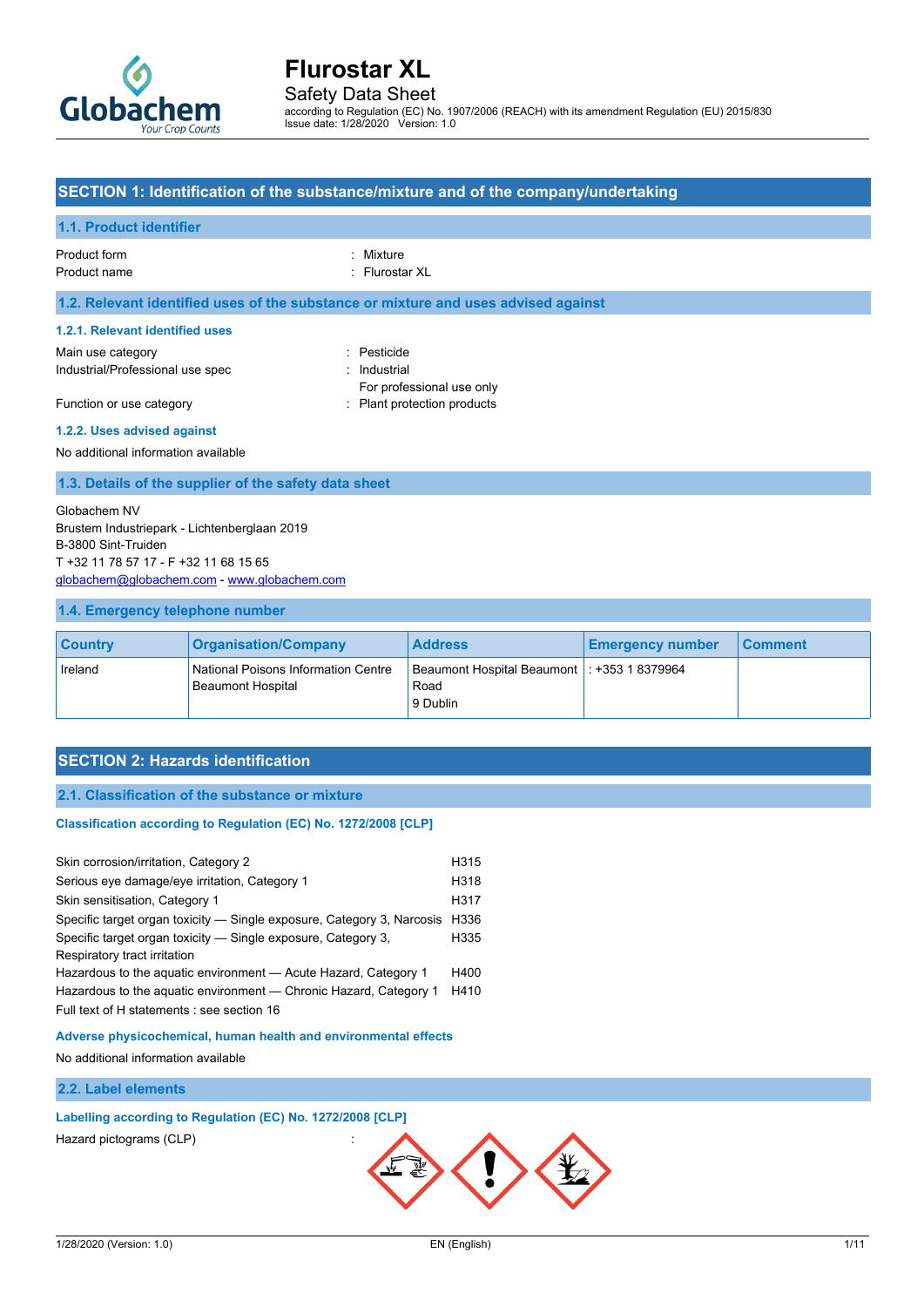

Safety Data Sheet

according to Regulation (EC) No. 1907/2006 (REACH) with its amendment Regulation (EU) 2015/830 Issue date: 1/28/2020 Version: 1.0

### **SECTION 1: Identification of the substance/mixture and of the company/undertaking**

#### **1.1. Product identifier**

### Product form : Nixture : Mixture

Product name : Flurostar XL

#### **1.2. Relevant identified uses of the substance or mixture and uses advised against**

#### **1.2.1. Relevant identified uses**

Main use category **in the set of the COV** and the Pesticide in the Pesticide Industrial/Professional use spec : Industrial

For professional use only Function or use category **Example 20** Flant protection products

#### **1.2.2. Uses advised against** No additional information available

## **1.3. Details of the supplier of the safety data sheet**

#### Globachem NV Brustem Industriepark - Lichtenberglaan 2019 B-3800 Sint-Truiden T +32 11 78 57 17 - F +32 11 68 15 65 [globachem@globachem.com](mailto:globachem@globachem.com) - <www.globachem.com>

#### **1.4. Emergency telephone number**

| <b>Country</b> | <b>Organisation/Company</b>                                     | <b>Address</b>                                                    | <b>Emergency number</b> | ∣ Comment⊹ |
|----------------|-----------------------------------------------------------------|-------------------------------------------------------------------|-------------------------|------------|
| Ireland        | National Poisons Information Centre<br><b>Beaumont Hospital</b> | Beaumont Hospital Beaumont   : +353 1 8379964<br>Road<br>9 Dublin |                         |            |

#### **SECTION 2: Hazards identification**

#### **2.1. Classification of the substance or mixture**

#### Classification according to Regulation (EC) No. 1272/2008 [CLP]

| Skin corrosion/irritation, Category 2                                                         |      |
|-----------------------------------------------------------------------------------------------|------|
| Serious eye damage/eye irritation, Category 1                                                 |      |
| Skin sensitisation, Category 1                                                                | H317 |
| Specific target organ toxicity — Single exposure, Category 3, Narcosis                        | H336 |
| Specific target organ toxicity — Single exposure, Category 3,<br>Respiratory tract irritation | H335 |
| Hazardous to the aquatic environment - Acute Hazard, Category 1                               | H400 |
| Hazardous to the aguatic environment — Chronic Hazard, Category 1                             | H410 |
| Full text of H statements : see section 16                                                    |      |
|                                                                                               |      |

**Adverse physicochemical, human health and environmental effects**

No additional information available

#### **2.2. Label elements**

### **Labelling according to Regulation (EC) No. 1272/2008 [CLP]**

Hazard pictograms (CLP) :

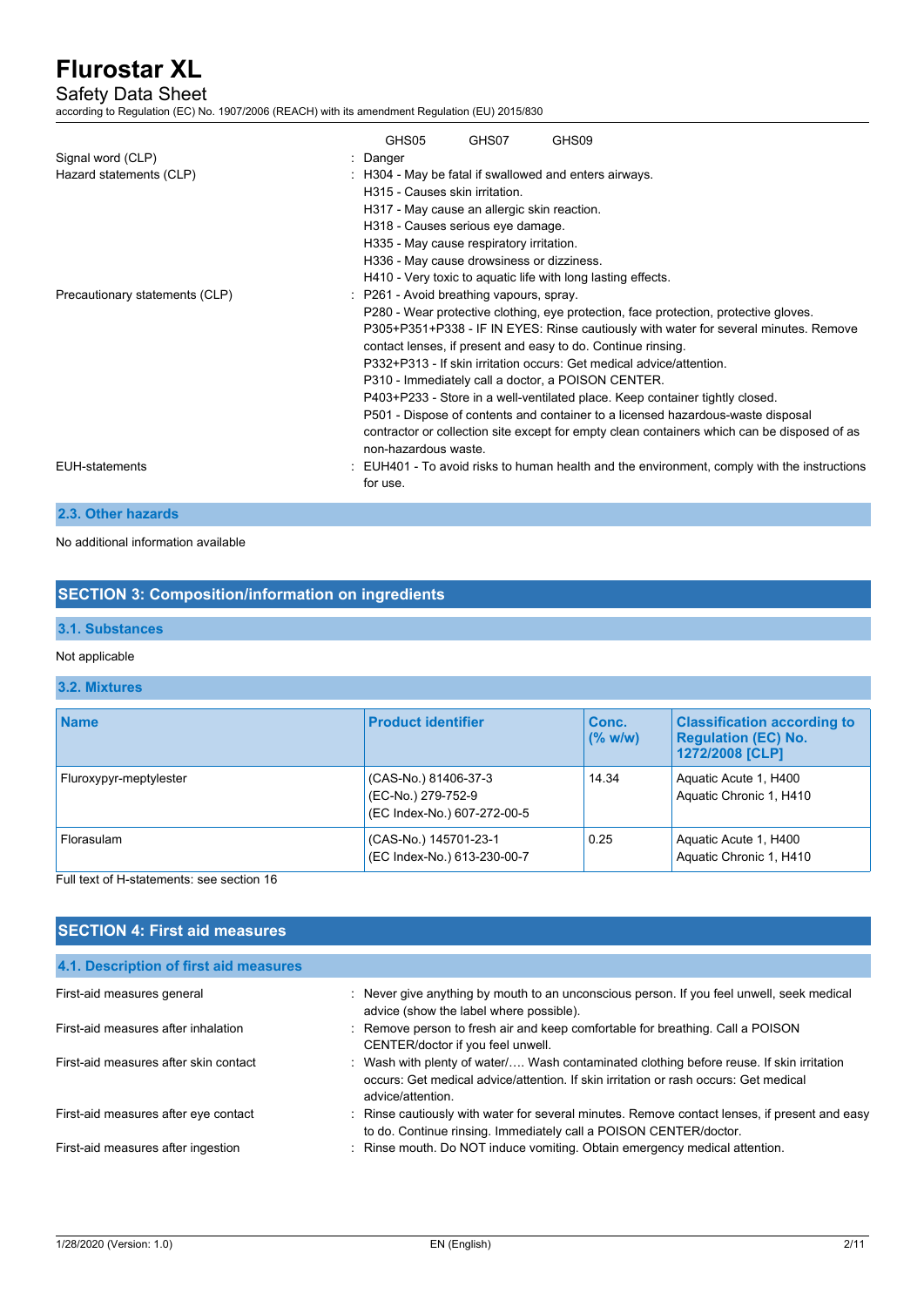### Safety Data Sheet

according to Regulation (EC) No. 1907/2006 (REACH) with its amendment Regulation (EU) 2015/830

| Signal word (CLP)<br>Hazard statements (CLP) | GHS05<br>: Danger<br>H315 - Causes skin irritation<br>H317 - May cause an allergic skin reaction.<br>H318 - Causes serious eye damage.<br>H335 - May cause respiratory irritation.<br>H336 - May cause drowsiness or dizziness. | GHS07 | GHS09<br>: H304 - May be fatal if swallowed and enters airways.<br>H410 - Very toxic to aquatic life with long lasting effects.                                                                                                                                                                                                                                                                                                                                                                                                                                                                                                             |
|----------------------------------------------|---------------------------------------------------------------------------------------------------------------------------------------------------------------------------------------------------------------------------------|-------|---------------------------------------------------------------------------------------------------------------------------------------------------------------------------------------------------------------------------------------------------------------------------------------------------------------------------------------------------------------------------------------------------------------------------------------------------------------------------------------------------------------------------------------------------------------------------------------------------------------------------------------------|
| Precautionary statements (CLP)               | : P261 - Avoid breathing vapours, spray.<br>non-hazardous waste.                                                                                                                                                                |       | P280 - Wear protective clothing, eye protection, face protection, protective gloves.<br>P305+P351+P338 - IF IN EYES: Rinse cautiously with water for several minutes. Remove<br>contact lenses, if present and easy to do. Continue rinsing.<br>P332+P313 - If skin irritation occurs: Get medical advice/attention<br>P310 - Immediately call a doctor, a POISON CENTER.<br>P403+P233 - Store in a well-ventilated place. Keep container tightly closed.<br>P501 - Dispose of contents and container to a licensed hazardous-waste disposal<br>contractor or collection site except for empty clean containers which can be disposed of as |
| EUH-statements                               | for use.                                                                                                                                                                                                                        |       | : EUH401 - To avoid risks to human health and the environment, comply with the instructions                                                                                                                                                                                                                                                                                                                                                                                                                                                                                                                                                 |

#### **2.3. Other hazards**

No additional information available

### **SECTION 3: Composition/information on ingredients**

### **3.1. Substances**

#### Not applicable

## **3.2. Mixtures**

| <b>Name</b>            | <b>Product identifier</b>                                                 | Conc.<br>(% w/w) | <b>Classification according to</b><br><b>Regulation (EC) No.</b><br>1272/2008 [CLP] |
|------------------------|---------------------------------------------------------------------------|------------------|-------------------------------------------------------------------------------------|
| Fluroxypyr-meptylester | (CAS-No.) 81406-37-3<br>(EC-No.) 279-752-9<br>(EC Index-No.) 607-272-00-5 | 14.34            | Aquatic Acute 1, H400<br>Aquatic Chronic 1, H410                                    |
| Florasulam             | (CAS-No.) 145701-23-1<br>(EC Index-No.) 613-230-00-7                      | 0.25             | Aquatic Acute 1, H400<br>Aquatic Chronic 1, H410                                    |

#### Full text of H-statements: see section 16

### **SECTION 4: First aid measures**

| 4.1. Description of first aid measures |                                                                                                                                                                                                       |
|----------------------------------------|-------------------------------------------------------------------------------------------------------------------------------------------------------------------------------------------------------|
| First-aid measures general             | : Never give anything by mouth to an unconscious person. If you feel unwell, seek medical<br>advice (show the label where possible).                                                                  |
| First-aid measures after inhalation    | : Remove person to fresh air and keep comfortable for breathing. Call a POISON<br>CENTER/doctor if you feel unwell.                                                                                   |
| First-aid measures after skin contact  | : Wash with plenty of water/ Wash contaminated clothing before reuse. If skin irritation<br>occurs: Get medical advice/attention. If skin irritation or rash occurs: Get medical<br>advice/attention. |
| First-aid measures after eye contact   | : Rinse cautiously with water for several minutes. Remove contact lenses, if present and easy<br>to do. Continue rinsing. Immediately call a POISON CENTER/doctor.                                    |
| First-aid measures after ingestion     | : Rinse mouth. Do NOT induce vomiting. Obtain emergency medical attention.                                                                                                                            |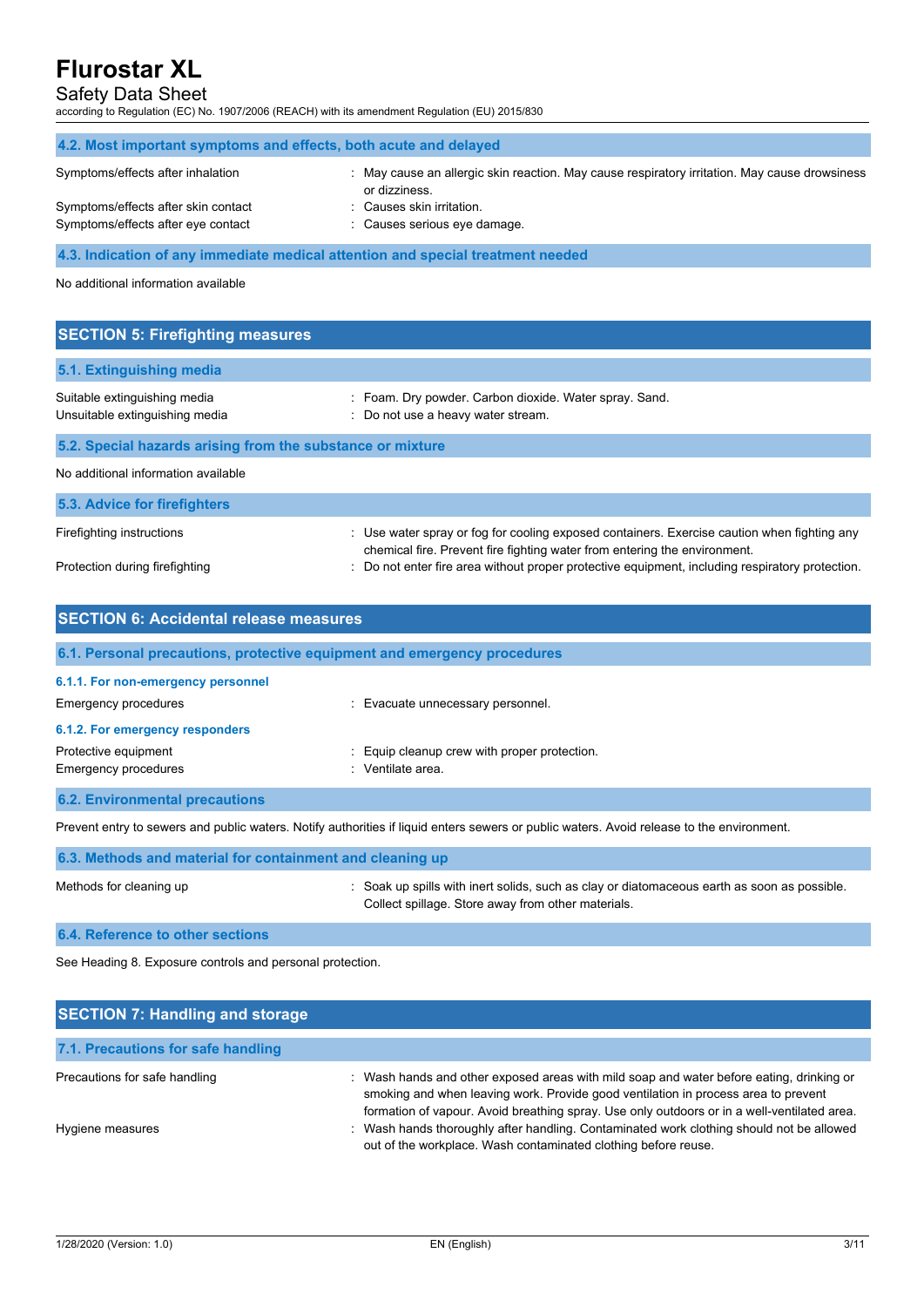### Safety Data Sheet

according to Regulation (EC) No. 1907/2006 (REACH) with its amendment Regulation (EU) 2015/830

| 4.2. Most important symptoms and effects, both acute and delayed |                                                                                                                |
|------------------------------------------------------------------|----------------------------------------------------------------------------------------------------------------|
| Symptoms/effects after inhalation                                | : May cause an allergic skin reaction. May cause respiratory irritation. May cause drowsiness<br>or dizziness. |
| Symptoms/effects after skin contact                              | : Causes skin irritation.                                                                                      |
| Symptoms/effects after eye contact                               | : Causes serious eye damage.                                                                                   |

**4.3. Indication of any immediate medical attention and special treatment needed**

No additional information available

| <b>SECTION 5: Firefighting measures</b>                        |                                                                                                                                                                          |
|----------------------------------------------------------------|--------------------------------------------------------------------------------------------------------------------------------------------------------------------------|
| 5.1. Extinguishing media                                       |                                                                                                                                                                          |
| Suitable extinguishing media<br>Unsuitable extinguishing media | : Foam. Dry powder. Carbon dioxide. Water spray. Sand.<br>: Do not use a heavy water stream.                                                                             |
| 5.2. Special hazards arising from the substance or mixture     |                                                                                                                                                                          |
| No additional information available                            |                                                                                                                                                                          |
| 5.3. Advice for firefighters                                   |                                                                                                                                                                          |
| Firefighting instructions                                      | : Use water spray or fog for cooling exposed containers. Exercise caution when fighting any<br>chemical fire. Prevent fire fighting water from entering the environment. |
| Protection during firefighting                                 | Do not enter fire area without proper protective equipment, including respiratory protection.                                                                            |

| <b>SECTION 6: Accidental release measures</b>                            |                                                               |  |  |  |
|--------------------------------------------------------------------------|---------------------------------------------------------------|--|--|--|
| 6.1. Personal precautions, protective equipment and emergency procedures |                                                               |  |  |  |
| 6.1.1. For non-emergency personnel<br><b>Emergency procedures</b>        | Evacuate unnecessary personnel.                               |  |  |  |
| 6.1.2. For emergency responders                                          |                                                               |  |  |  |
| Protective equipment<br>Emergency procedures                             | Equip cleanup crew with proper protection.<br>Ventilate area. |  |  |  |

**6.2. Environmental precautions**

Prevent entry to sewers and public waters. Notify authorities if liquid enters sewers or public waters. Avoid release to the environment.

| 6.3. Methods and material for containment and cleaning up |                                                                                                                                                   |
|-----------------------------------------------------------|---------------------------------------------------------------------------------------------------------------------------------------------------|
| Methods for cleaning up                                   | : Soak up spills with inert solids, such as clay or diatomaceous earth as soon as possible.<br>Collect spillage. Store away from other materials. |
| 6.4. Reference to other sections                          |                                                                                                                                                   |

See Heading 8. Exposure controls and personal protection.

| <b>SECTION 7: Handling and storage</b> |                                                                                                                                                                                                                                                                               |
|----------------------------------------|-------------------------------------------------------------------------------------------------------------------------------------------------------------------------------------------------------------------------------------------------------------------------------|
| 7.1. Precautions for safe handling     |                                                                                                                                                                                                                                                                               |
| Precautions for safe handling          | : Wash hands and other exposed areas with mild soap and water before eating, drinking or<br>smoking and when leaving work. Provide good ventilation in process area to prevent<br>formation of vapour. Avoid breathing spray. Use only outdoors or in a well-ventilated area. |
| Hygiene measures                       | : Wash hands thoroughly after handling. Contaminated work clothing should not be allowed<br>out of the workplace. Wash contaminated clothing before reuse.                                                                                                                    |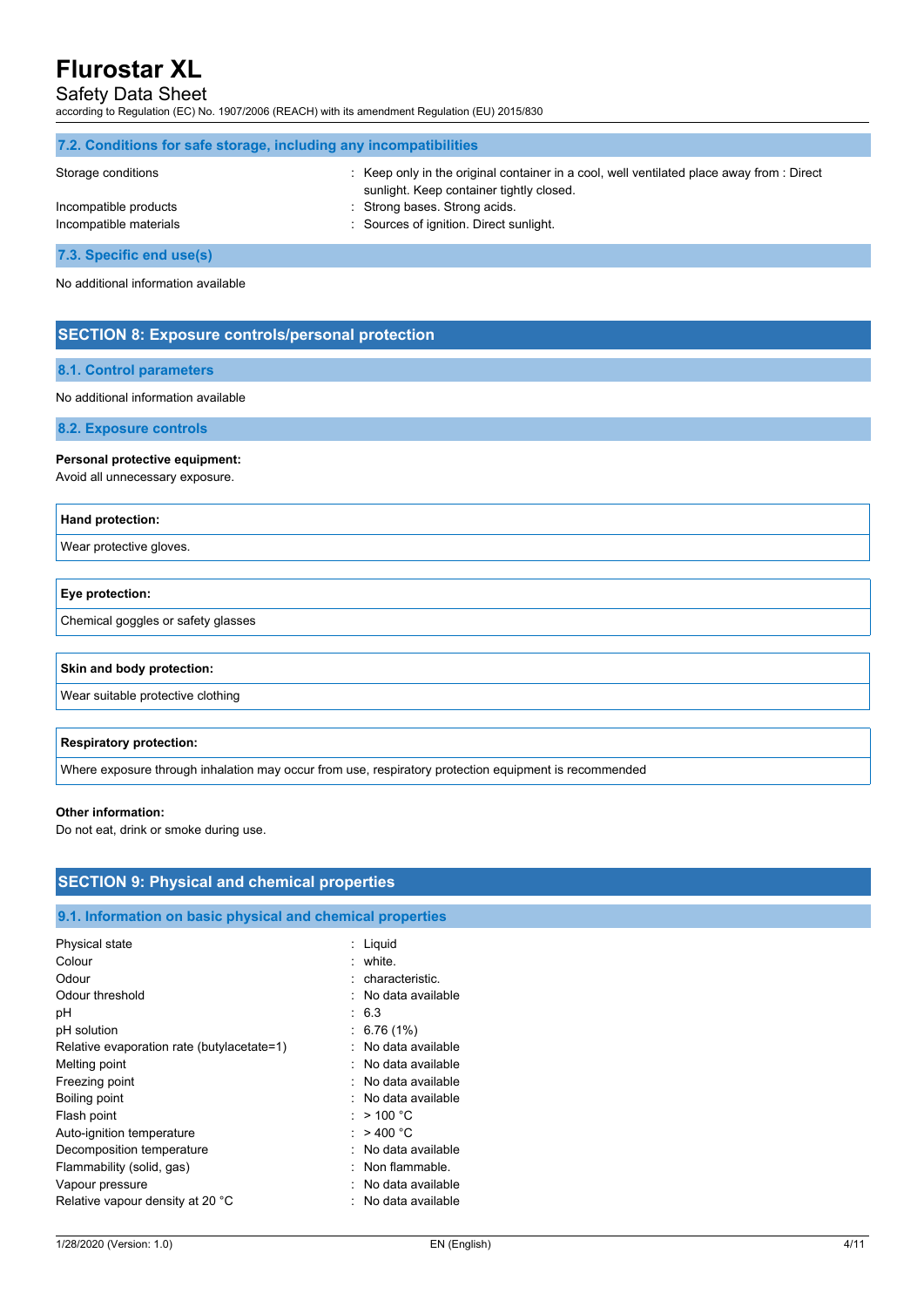## Safety Data Sheet

according to Regulation (EC) No. 1907/2006 (REACH) with its amendment Regulation (EU) 2015/830

| 7.2. Conditions for safe storage, including any incompatibilities |                                                                                                                                       |  |  |
|-------------------------------------------------------------------|---------------------------------------------------------------------------------------------------------------------------------------|--|--|
| Storage conditions                                                | : Keep only in the original container in a cool, well ventilated place away from : Direct<br>sunlight. Keep container tightly closed. |  |  |
| Incompatible products                                             | : Strong bases. Strong acids                                                                                                          |  |  |
| Incompatible materials                                            | : Sources of ignition. Direct sunlight.                                                                                               |  |  |
| 7.3. Specific end use(s)                                          |                                                                                                                                       |  |  |

No additional information available

## **SECTION 8: Exposure controls/personal protection**

#### **8.1. Control parameters**

#### No additional information available

**8.2. Exposure controls**

### **Personal protective equipment:**

Avoid all unnecessary exposure.

#### **Hand protection:**

Wear protective gloves.

| Eye protection:                    |  |
|------------------------------------|--|
| Chemical goggles or safety glasses |  |

#### **Skin and body protection:**

Wear suitable protective clothing

#### **Respiratory protection:**

Where exposure through inhalation may occur from use, respiratory protection equipment is recommended

#### **Other information:**

Do not eat, drink or smoke during use.

| <b>SECTION 9: Physical and chemical properties</b>         |                     |  |
|------------------------------------------------------------|---------------------|--|
| 9.1. Information on basic physical and chemical properties |                     |  |
|                                                            |                     |  |
| Physical state                                             | : Liquid            |  |
| Colour                                                     | : white.            |  |
| Odour                                                      | : characteristic.   |  |
| Odour threshold                                            | : No data available |  |
| рH                                                         | : 6.3               |  |
| pH solution                                                | $\div$ 6.76 (1%)    |  |
| Relative evaporation rate (butylacetate=1)                 | : No data available |  |
| Melting point                                              | : No data available |  |
| Freezing point                                             | : No data available |  |
| Boiling point                                              | : No data available |  |
| Flash point                                                | : $>$ 100 °C        |  |
| Auto-ignition temperature                                  | : $>400 °C$         |  |
| Decomposition temperature                                  | : No data available |  |
| Flammability (solid, gas)                                  | : Non flammable.    |  |
| Vapour pressure                                            | : No data available |  |
| Relative vapour density at 20 °C                           | : No data available |  |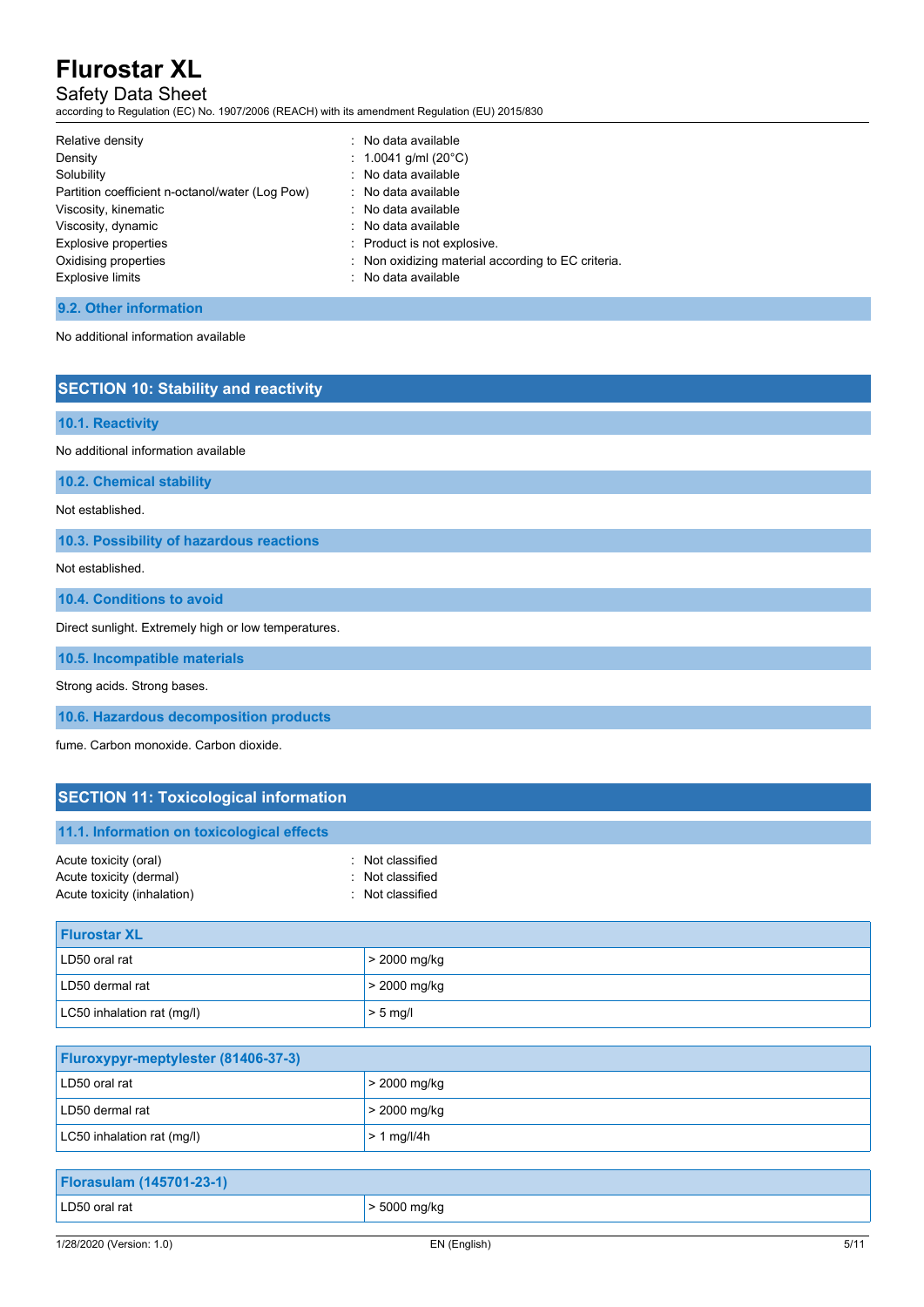## Safety Data Sheet

according to Regulation (EC) No. 1907/2006 (REACH) with its amendment Regulation (EU) 2015/830

| Relative density                                | : No data available                                |
|-------------------------------------------------|----------------------------------------------------|
| Density                                         | : 1.0041 g/ml (20 $^{\circ}$ C)                    |
| Solubility                                      | : No data available                                |
| Partition coefficient n-octanol/water (Log Pow) | : No data available                                |
| Viscosity, kinematic                            | : No data available                                |
| Viscosity, dynamic                              | : No data available                                |
| Explosive properties                            | : Product is not explosive.                        |
| Oxidising properties                            | : Non oxidizing material according to EC criteria. |
| <b>Explosive limits</b>                         | : No data available                                |

### **9.2. Other information**

No additional information available

### **SECTION 10: Stability and reactivity**

#### **10.1. Reactivity**

No additional information available

**10.2. Chemical stability**

Not established.

**10.3. Possibility of hazardous reactions**

Not established.

**10.4. Conditions to avoid**

Direct sunlight. Extremely high or low temperatures.

**10.5. Incompatible materials**

Strong acids. Strong bases.

**10.6. Hazardous decomposition products**

fume. Carbon monoxide. Carbon dioxide.

## **SECTION 11: Toxicological information**

 $\vert$  LC50 inhalation rat (mg/l)  $\vert$  > 1 mg/l/4h

| <b>SECTION TT. TOXICOLOGICAL INTOITMATION</b>                                   |                                                          |  |
|---------------------------------------------------------------------------------|----------------------------------------------------------|--|
| 11.1. Information on toxicological effects                                      |                                                          |  |
| Acute toxicity (oral)<br>Acute toxicity (dermal)<br>Acute toxicity (inhalation) | : Not classified<br>: Not classified<br>: Not classified |  |
| <b>Flurostar XL</b>                                                             |                                                          |  |
| LD50 oral rat                                                                   | > 2000 mg/kg                                             |  |
| LD50 dermal rat                                                                 | > 2000 mg/kg                                             |  |
| LC50 inhalation rat (mg/l)                                                      | $> 5$ mg/l                                               |  |
|                                                                                 |                                                          |  |
| Fluroxypyr-meptylester (81406-37-3)                                             |                                                          |  |
| LD50 oral rat                                                                   | > 2000 mg/kg                                             |  |
| LD50 dermal rat                                                                 | > 2000 mg/kg                                             |  |

| <b>Florasulam (145701-23-1)</b> |                   |
|---------------------------------|-------------------|
| LD50 oral rat                   | $\geq 5000$ mg/kg |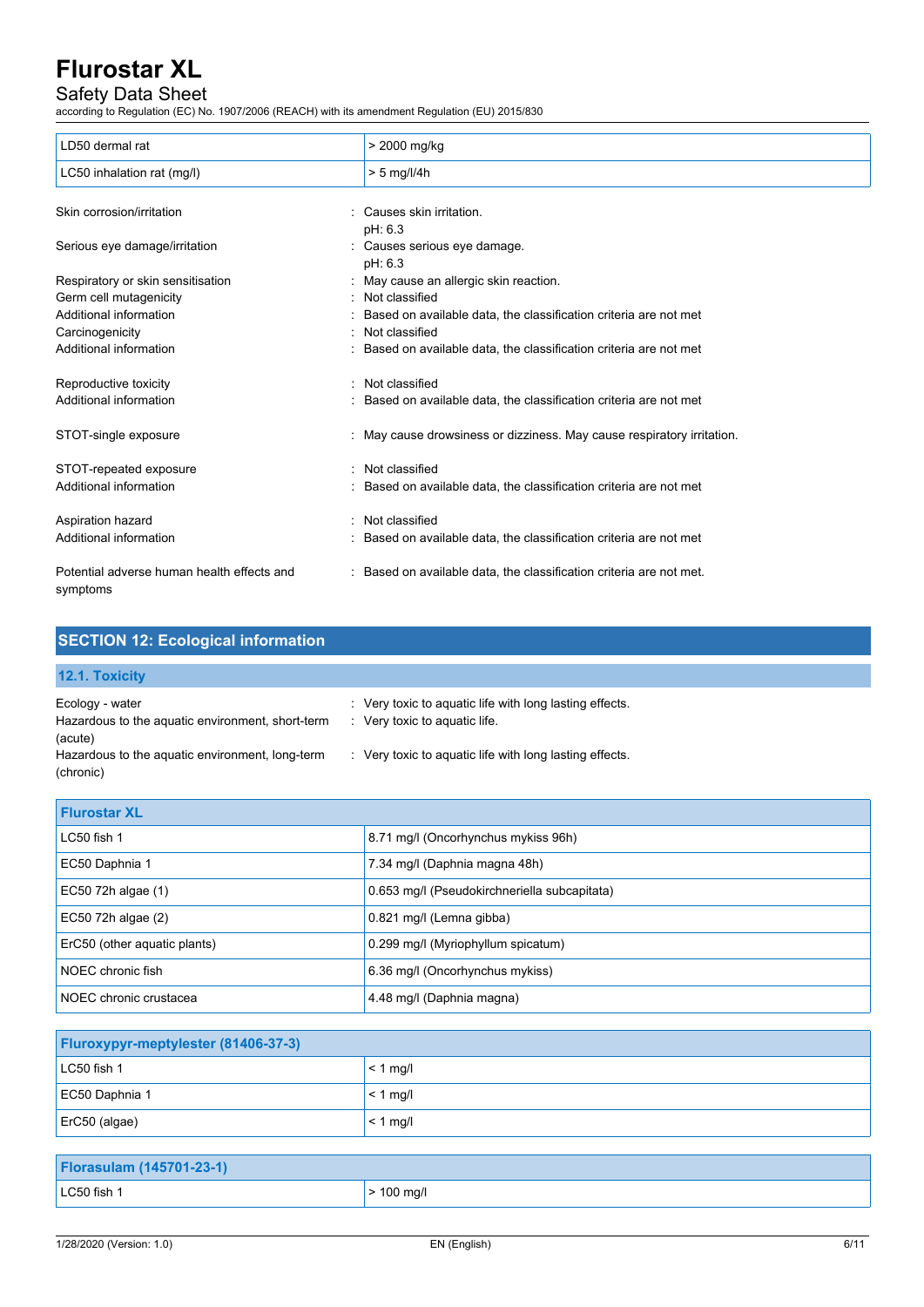## Safety Data Sheet

according to Regulation (EC) No. 1907/2006 (REACH) with its amendment Regulation (EU) 2015/830

| LD50 dermal rat                                        | > 2000 mg/kg                                                           |
|--------------------------------------------------------|------------------------------------------------------------------------|
| LC50 inhalation rat (mg/l)                             | $> 5$ mg/l/4h                                                          |
| Skin corrosion/irritation                              | : Causes skin irritation.                                              |
|                                                        | pH: 6.3                                                                |
| Serious eye damage/irritation                          | : Causes serious eye damage.                                           |
|                                                        | pH: 6.3                                                                |
| Respiratory or skin sensitisation                      | : May cause an allergic skin reaction.                                 |
| Germ cell mutagenicity                                 | : Not classified                                                       |
| Additional information                                 | Based on available data, the classification criteria are not met       |
| Carcinogenicity                                        | : Not classified                                                       |
| Additional information                                 | : Based on available data, the classification criteria are not met     |
| Reproductive toxicity                                  | : Not classified                                                       |
| Additional information                                 | : Based on available data, the classification criteria are not met     |
| STOT-single exposure                                   | : May cause drowsiness or dizziness. May cause respiratory irritation. |
| STOT-repeated exposure                                 | : Not classified                                                       |
| Additional information                                 | : Based on available data, the classification criteria are not met     |
| Aspiration hazard                                      | : Not classified                                                       |
| Additional information                                 | : Based on available data, the classification criteria are not met     |
| Potential adverse human health effects and<br>symptoms | : Based on available data, the classification criteria are not met.    |

| <b>SECTION 12: Ecological information</b>                                                                                                      |                                                                                                                                                                |
|------------------------------------------------------------------------------------------------------------------------------------------------|----------------------------------------------------------------------------------------------------------------------------------------------------------------|
| 12.1. Toxicity                                                                                                                                 |                                                                                                                                                                |
| Ecology - water<br>Hazardous to the aquatic environment, short-term<br>(acute)<br>Hazardous to the aquatic environment, long-term<br>(chronic) | : Very toxic to aquatic life with long lasting effects.<br>$\therefore$ Very toxic to aquatic life.<br>: Very toxic to aguatic life with long lasting effects. |
| <b>Flurostar XL</b>                                                                                                                            |                                                                                                                                                                |
| LC50 fish 1                                                                                                                                    | 8.71 mg/l (Oncorhynchus mykiss 96h)                                                                                                                            |
| EC50 Daphnia 1                                                                                                                                 | 7.34 mg/l (Daphnia magna 48h)                                                                                                                                  |
|                                                                                                                                                |                                                                                                                                                                |

| EC50 72h algae $(1)$         | 0.653 mg/l (Pseudokirchneriella subcapitata) |
|------------------------------|----------------------------------------------|
| EC50 72h algae $(2)$         | 0.821 mg/l (Lemna gibba)                     |
| ErC50 (other aquatic plants) | 0.299 mg/l (Myriophyllum spicatum)           |
| NOEC chronic fish            | 6.36 mg/l (Oncorhynchus mykiss)              |
| NOEC chronic crustacea       | 4.48 mg/l (Daphnia magna)                    |

| <b>Fluroxypyr-meptylester (81406-37-3)</b> |               |
|--------------------------------------------|---------------|
| LC50 fish 1                                | $< 1$ mg/     |
| EC50 Daphnia 1                             | $\leq 1$ mg/l |
| $ $ ErC50 (algae)                          | $< 1$ mg/l    |

| <b>Florasulam (145701-23-1)</b> |                        |
|---------------------------------|------------------------|
| LC50 fish 1                     | $> 100 \; \text{mg/l}$ |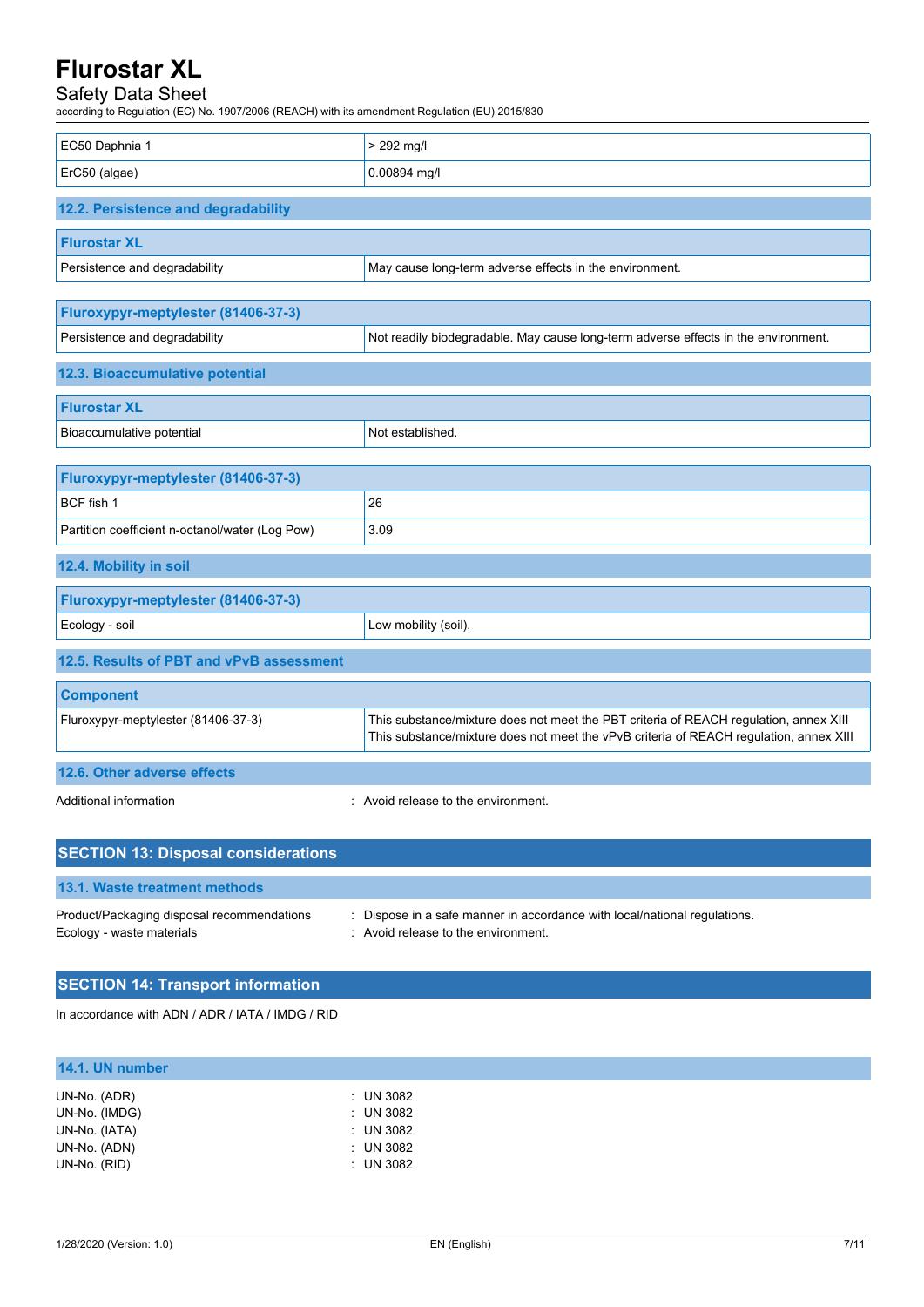### Safety Data Sheet

according to Regulation (EC) No. 1907/2006 (REACH) with its amendment Regulation (EU) 2015/830

| EC50 Daphnia 1                                  | $> 292$ mg/l                                                                                                                                                                    |
|-------------------------------------------------|---------------------------------------------------------------------------------------------------------------------------------------------------------------------------------|
| ErC50 (algae)                                   | 0.00894 mg/l                                                                                                                                                                    |
|                                                 |                                                                                                                                                                                 |
| 12.2. Persistence and degradability             |                                                                                                                                                                                 |
| <b>Flurostar XL</b>                             |                                                                                                                                                                                 |
| Persistence and degradability                   | May cause long-term adverse effects in the environment.                                                                                                                         |
|                                                 |                                                                                                                                                                                 |
| Fluroxypyr-meptylester (81406-37-3)             |                                                                                                                                                                                 |
| Persistence and degradability                   | Not readily biodegradable. May cause long-term adverse effects in the environment.                                                                                              |
| 12.3. Bioaccumulative potential                 |                                                                                                                                                                                 |
| <b>Flurostar XL</b>                             |                                                                                                                                                                                 |
| Bioaccumulative potential                       | Not established.                                                                                                                                                                |
|                                                 |                                                                                                                                                                                 |
| Fluroxypyr-meptylester (81406-37-3)             |                                                                                                                                                                                 |
| BCF fish 1                                      | 26                                                                                                                                                                              |
| Partition coefficient n-octanol/water (Log Pow) | 3.09                                                                                                                                                                            |
| 12.4. Mobility in soil                          |                                                                                                                                                                                 |
| Fluroxypyr-meptylester (81406-37-3)             |                                                                                                                                                                                 |
| Ecology - soil                                  | Low mobility (soil).                                                                                                                                                            |
| 12.5. Results of PBT and vPvB assessment        |                                                                                                                                                                                 |
| <b>Component</b>                                |                                                                                                                                                                                 |
| Fluroxypyr-meptylester (81406-37-3)             | This substance/mixture does not meet the PBT criteria of REACH regulation, annex XIII<br>This substance/mixture does not meet the vPvB criteria of REACH regulation, annex XIII |
| 12.6. Other adverse effects                     |                                                                                                                                                                                 |
| Additional information                          | : Avoid release to the environment.                                                                                                                                             |

| <b>SECTION 13: Disposal considerations</b>                              |                                                                                                                             |  |
|-------------------------------------------------------------------------|-----------------------------------------------------------------------------------------------------------------------------|--|
| 13.1. Waste treatment methods                                           |                                                                                                                             |  |
| Product/Packaging disposal recommendations<br>Ecology - waste materials | : Dispose in a safe manner in accordance with local/national regulations.<br>$\therefore$ Avoid release to the environment. |  |

## **SECTION 14: Transport information**

In accordance with ADN / ADR / IATA / IMDG / RID

## **14.1. UN number**

| UN-No. (ADR)  | $:$ UN 3082          |
|---------------|----------------------|
| UN-No. (IMDG) | $\therefore$ UN 3082 |
| UN-No. (IATA) | $:$ UN 3082          |
| UN-No. (ADN)  | : UN 3082            |
| UN-No. (RID)  | $:$ UN 3082          |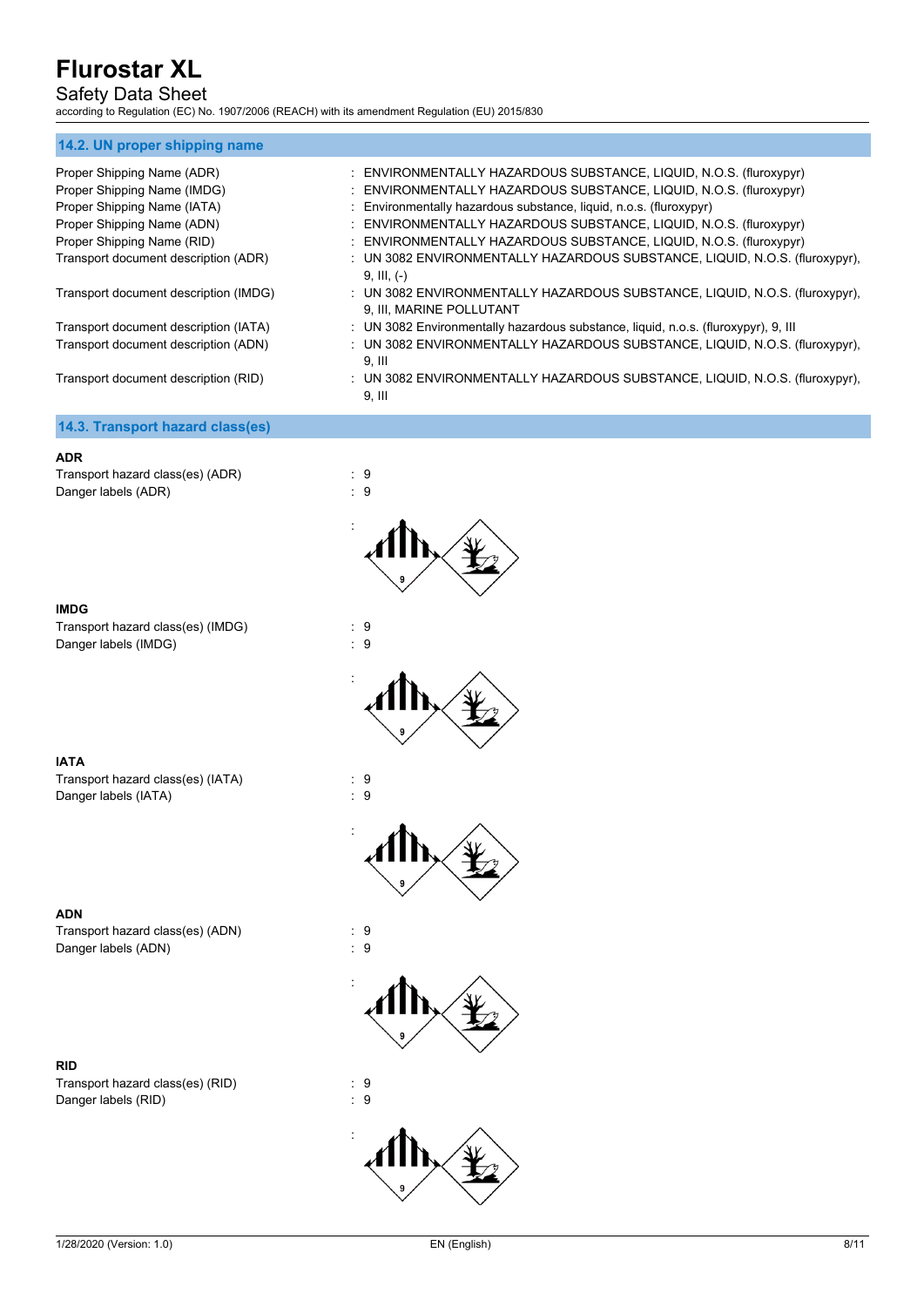## Safety Data Sheet

according to Regulation (EC) No. 1907/2006 (REACH) with its amendment Regulation (EU) 2015/830

| 14.2. UN proper shipping name         |                                                                                                         |
|---------------------------------------|---------------------------------------------------------------------------------------------------------|
| Proper Shipping Name (ADR)            | : ENVIRONMENTALLY HAZARDOUS SUBSTANCE, LIQUID, N.O.S. (fluroxypyr)                                      |
| Proper Shipping Name (IMDG)           | : ENVIRONMENTALLY HAZARDOUS SUBSTANCE, LIQUID, N.O.S. (fluroxypyr)                                      |
| Proper Shipping Name (IATA)           | : Environmentally hazardous substance, liquid, n.o.s. (fluroxypyr)                                      |
| Proper Shipping Name (ADN)            | : ENVIRONMENTALLY HAZARDOUS SUBSTANCE, LIQUID, N.O.S. (fluroxypyr)                                      |
| Proper Shipping Name (RID)            | : ENVIRONMENTALLY HAZARDOUS SUBSTANCE, LIQUID, N.O.S. (fluroxypyr)                                      |
| Transport document description (ADR)  | : UN 3082 ENVIRONMENTALLY HAZARDOUS SUBSTANCE, LIQUID, N.O.S. (fluroxypyr),<br>$9, III, (-)$            |
| Transport document description (IMDG) | : UN 3082 ENVIRONMENTALLY HAZARDOUS SUBSTANCE, LIQUID, N.O.S. (fluroxypyr),<br>9, III, MARINE POLLUTANT |
| Transport document description (IATA) | : UN 3082 Environmentally hazardous substance, liquid, n.o.s. (fluroxypyr), 9, III                      |
| Transport document description (ADN)  | : UN 3082 ENVIRONMENTALLY HAZARDOUS SUBSTANCE, LIQUID, N.O.S. (fluroxypyr),<br>9. III                   |
| Transport document description (RID)  | : UN 3082 ENVIRONMENTALLY HAZARDOUS SUBSTANCE, LIQUID, N.O.S. (fluroxypyr),<br>$9.$ III                 |
| 14.3. Transport hazard class(es)      |                                                                                                         |

#### **ADR**

Transport hazard class(es) (ADR) : 9<br>Danger labels (ADR) : 9 Danger labels (ADR)



Transport hazard class(es) (IMDG) : 9 Danger labels (IMDG) : 9



:



**ADN**

Transport hazard class(es) (IATA) : 9<br>Danger labels (IATA) : 9 Danger labels (IATA)







**RID**

Transport hazard class(es) (ADN) : 9

Transport hazard class(es) (RID) : 9<br>Danger labels (RID) : 9 Danger labels (RID)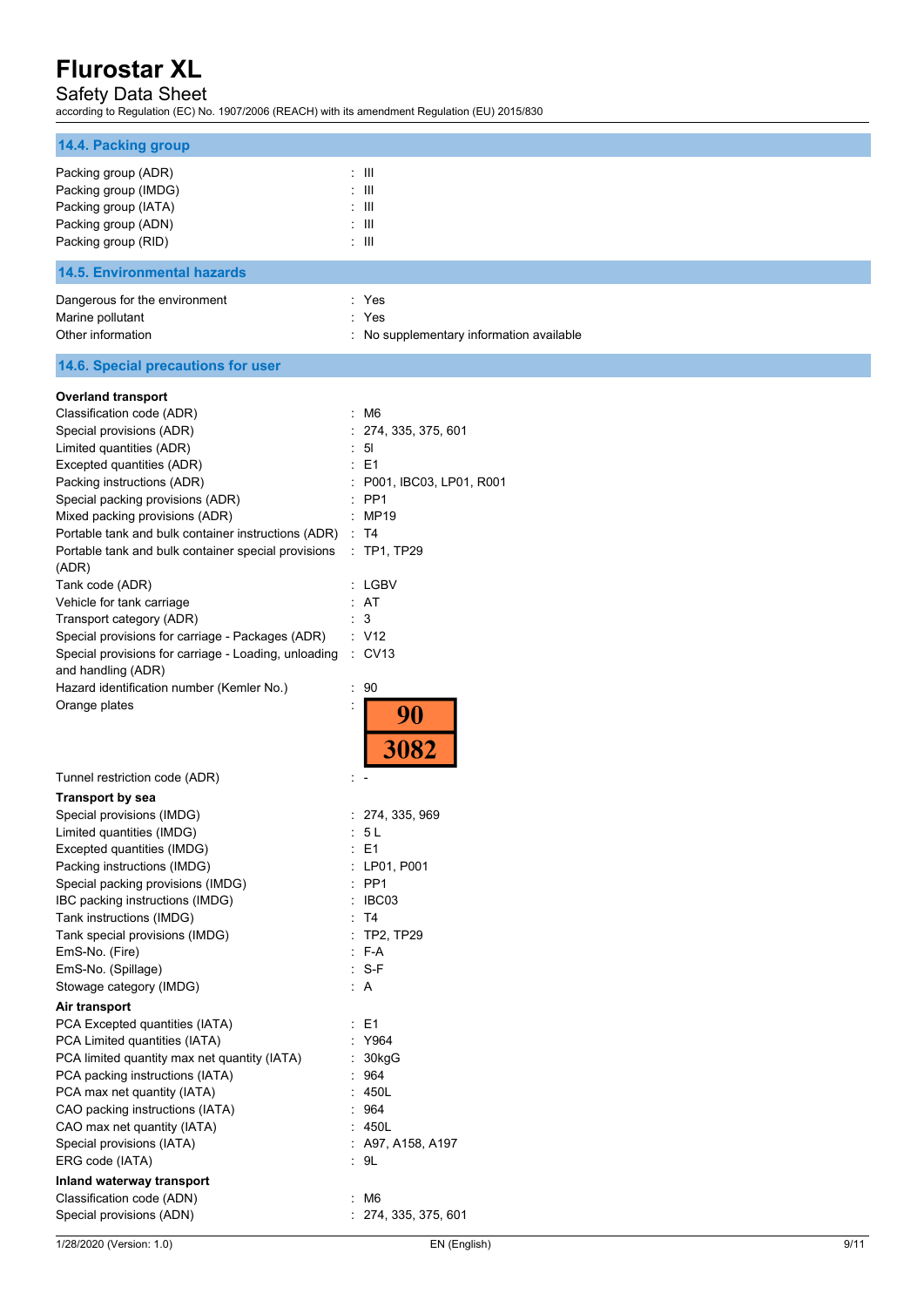### Safety Data Sheet

according to Regulation (EC) No. 1907/2006 (REACH) with its amendment Regulation (EU) 2015/830

| 14.4. Packing group                                                                                                                                                                                                                                                                                                                                                                                                                                                                                                                                                                                                                                                                                          |                                                                                                                                                                                                                                 |      |
|--------------------------------------------------------------------------------------------------------------------------------------------------------------------------------------------------------------------------------------------------------------------------------------------------------------------------------------------------------------------------------------------------------------------------------------------------------------------------------------------------------------------------------------------------------------------------------------------------------------------------------------------------------------------------------------------------------------|---------------------------------------------------------------------------------------------------------------------------------------------------------------------------------------------------------------------------------|------|
| Packing group (ADR)<br>Packing group (IMDG)<br>Packing group (IATA)<br>Packing group (ADN)<br>Packing group (RID)                                                                                                                                                                                                                                                                                                                                                                                                                                                                                                                                                                                            | $\pm$ 111<br>$:$ $\mathbb{H}$<br>: III<br>$\pm$ 111<br>$:$ $\mathbb{H}$                                                                                                                                                         |      |
| <b>14.5. Environmental hazards</b>                                                                                                                                                                                                                                                                                                                                                                                                                                                                                                                                                                                                                                                                           |                                                                                                                                                                                                                                 |      |
| Dangerous for the environment<br>Marine pollutant<br>Other information                                                                                                                                                                                                                                                                                                                                                                                                                                                                                                                                                                                                                                       | : Yes<br>: Yes<br>: No supplementary information available                                                                                                                                                                      |      |
| 14.6. Special precautions for user                                                                                                                                                                                                                                                                                                                                                                                                                                                                                                                                                                                                                                                                           |                                                                                                                                                                                                                                 |      |
| <b>Overland transport</b><br>Classification code (ADR)<br>Special provisions (ADR)<br>Limited quantities (ADR)<br>Excepted quantities (ADR)<br>Packing instructions (ADR)<br>Special packing provisions (ADR)<br>Mixed packing provisions (ADR)<br>Portable tank and bulk container instructions (ADR)<br>Portable tank and bulk container special provisions<br>(ADR)<br>Tank code (ADR)<br>Vehicle for tank carriage<br>Transport category (ADR)<br>Special provisions for carriage - Packages (ADR)<br>Special provisions for carriage - Loading, unloading<br>and handling (ADR)<br>Hazard identification number (Kemler No.)<br>Orange plates                                                           | : M6<br>: 274, 335, 375, 601<br>$\therefore$ 51<br>: E1<br>P001, IBC03, LP01, R001<br>$:$ PP1<br>: MP19<br>: T4<br>$:$ TP1, TP29<br>: LGBV<br>: AT<br>: 3<br>: V12<br>$\therefore$ CV13<br>: 90<br>$\ddot{\cdot}$<br>90<br>3082 |      |
| Tunnel restriction code (ADR)                                                                                                                                                                                                                                                                                                                                                                                                                                                                                                                                                                                                                                                                                |                                                                                                                                                                                                                                 |      |
| <b>Transport by sea</b><br>Special provisions (IMDG)<br>Limited quantities (IMDG)<br>Excepted quantities (IMDG)<br>Packing instructions (IMDG)<br>Special packing provisions (IMDG)<br>IBC packing instructions (IMDG)<br>Tank instructions (IMDG)<br>Tank special provisions (IMDG)<br>EmS-No. (Fire)<br>EmS-No. (Spillage)<br>Stowage category (IMDG)<br>Air transport<br>PCA Excepted quantities (IATA)<br>PCA Limited quantities (IATA)<br>PCA limited quantity max net quantity (IATA)<br>PCA packing instructions (IATA)<br>PCA max net quantity (IATA)<br>CAO packing instructions (IATA)<br>CAO max net quantity (IATA)<br>Special provisions (IATA)<br>ERG code (IATA)<br>Inland waterway transport | : 274, 335, 969<br>: 5L<br>: E1<br>: LP01, P001<br>$:$ PP1<br>IBC03<br>: T4<br>$:$ TP2, TP29<br>: F-A<br>$: S-F$<br>: A<br>$\therefore$ E1<br>Y964<br>30kgG<br>: 964<br>450L<br>964<br>: 450L<br>: A97, A158, A197<br>: 9L      |      |
| Classification code (ADN)<br>Special provisions (ADN)                                                                                                                                                                                                                                                                                                                                                                                                                                                                                                                                                                                                                                                        | : M6<br>: 274, 335, 375, 601                                                                                                                                                                                                    |      |
| 1/28/2020 (Version: 1.0)                                                                                                                                                                                                                                                                                                                                                                                                                                                                                                                                                                                                                                                                                     | EN (English)                                                                                                                                                                                                                    | 9/11 |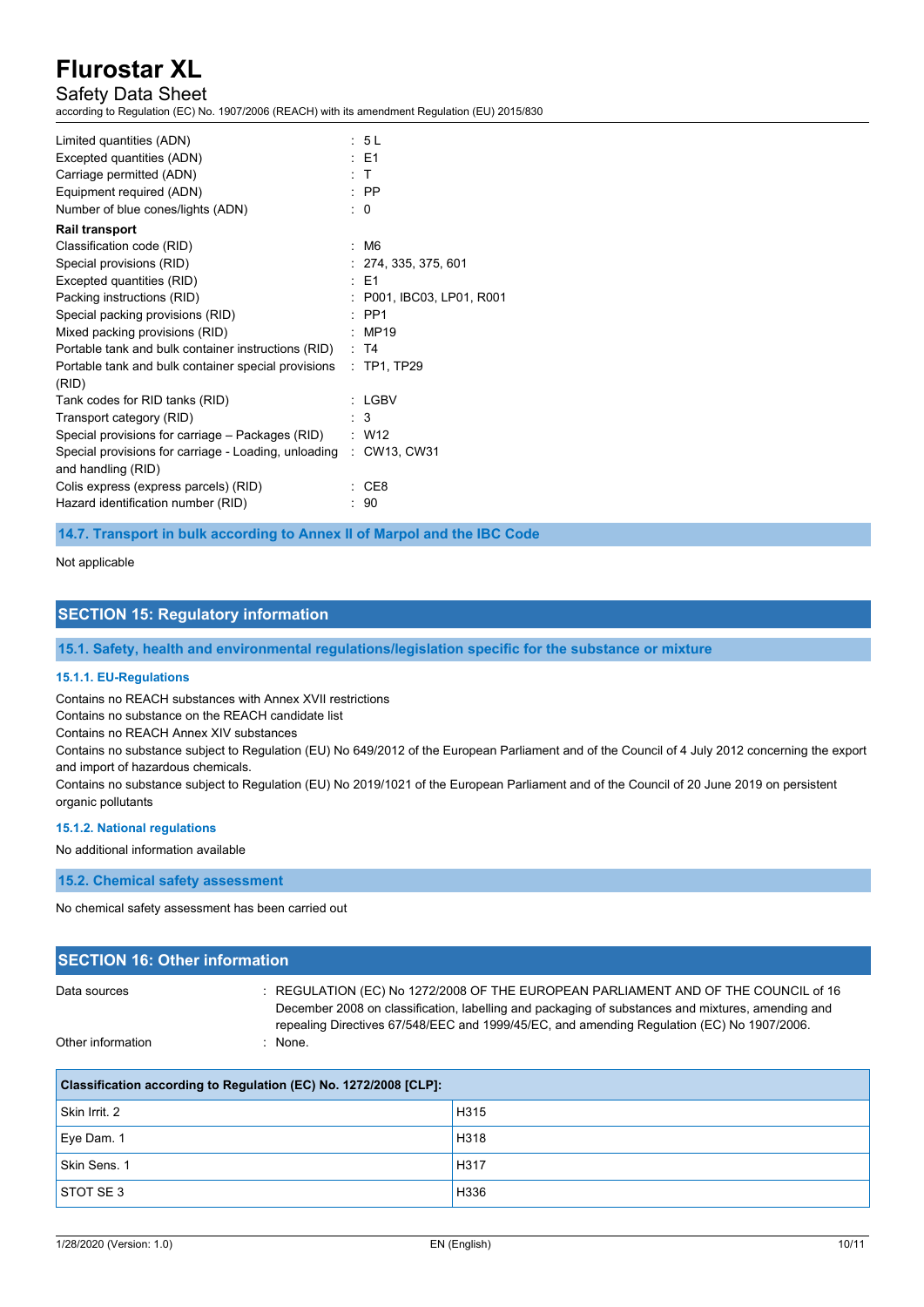## Safety Data Sheet

according to Regulation (EC) No. 1907/2006 (REACH) with its amendment Regulation (EU) 2015/830

| Limited quantities (ADN)                                          | : 5 L                   |
|-------------------------------------------------------------------|-------------------------|
| Excepted quantities (ADN)                                         | $\pm$ E1                |
| Carriage permitted (ADN)                                          | $\cdot$ T               |
| Equipment required (ADN)                                          | $\therefore$ PP         |
| Number of blue cones/lights (ADN)                                 | $\Omega$                |
| <b>Rail transport</b>                                             |                         |
| Classification code (RID)                                         | : M6                    |
| Special provisions (RID)                                          | : 274, 335, 375, 601    |
| Excepted quantities (RID)                                         | $·$ F1                  |
| Packing instructions (RID)                                        | P001, IBC03, LP01, R001 |
| Special packing provisions (RID)                                  | $\cdot$ PP1             |
| Mixed packing provisions (RID)                                    | MP19                    |
| Portable tank and bulk container instructions (RID)               | : T4                    |
| Portable tank and bulk container special provisions               | : TP1, TP29             |
| (RID)                                                             |                         |
| Tank codes for RID tanks (RID)                                    | : LGBV                  |
| Transport category (RID)                                          | 3                       |
| Special provisions for carriage – Packages (RID)                  | $\therefore$ W12        |
| Special provisions for carriage - Loading, unloading : CW13, CW31 |                         |
| and handling (RID)                                                |                         |
| Colis express (express parcels) (RID)                             | CE8                     |
| Hazard identification number (RID)                                | 90                      |
|                                                                   |                         |

**14.7. Transport in bulk according to Annex II of Marpol and the IBC Code**

#### Not applicable

#### **SECTION 15: Regulatory information**

**15.1. Safety, health and environmental regulations/legislation specific for the substance or mixture**

#### **15.1.1. EU-Regulations**

Contains no REACH substances with Annex XVII restrictions

Contains no substance on the REACH candidate list

Contains no REACH Annex XIV substances

Contains no substance subject to Regulation (EU) No 649/2012 of the European Parliament and of the Council of 4 July 2012 concerning the export and import of hazardous chemicals.

Contains no substance subject to Regulation (EU) No 2019/1021 of the European Parliament and of the Council of 20 June 2019 on persistent organic pollutants

#### **15.1.2. National regulations**

#### No additional information available

**15.2. Chemical safety assessment**

No chemical safety assessment has been carried out

| <b>SECTION 16: Other information</b> |                                                                                                                                                                                                                                                                                       |  |
|--------------------------------------|---------------------------------------------------------------------------------------------------------------------------------------------------------------------------------------------------------------------------------------------------------------------------------------|--|
| Data sources                         | : REGULATION (EC) No 1272/2008 OF THE EUROPEAN PARLIAMENT AND OF THE COUNCIL of 16<br>December 2008 on classification, labelling and packaging of substances and mixtures, amending and<br>repealing Directives 67/548/EEC and 1999/45/EC, and amending Regulation (EC) No 1907/2006. |  |
| Other information                    | : None.                                                                                                                                                                                                                                                                               |  |

| Classification according to Regulation (EC) No. 1272/2008 [CLP]: |      |  |
|------------------------------------------------------------------|------|--|
| Skin Irrit, 2                                                    | H315 |  |
| Eye Dam. 1                                                       | H318 |  |
| Skin Sens, 1                                                     | H317 |  |
| STOT SE3                                                         | H336 |  |